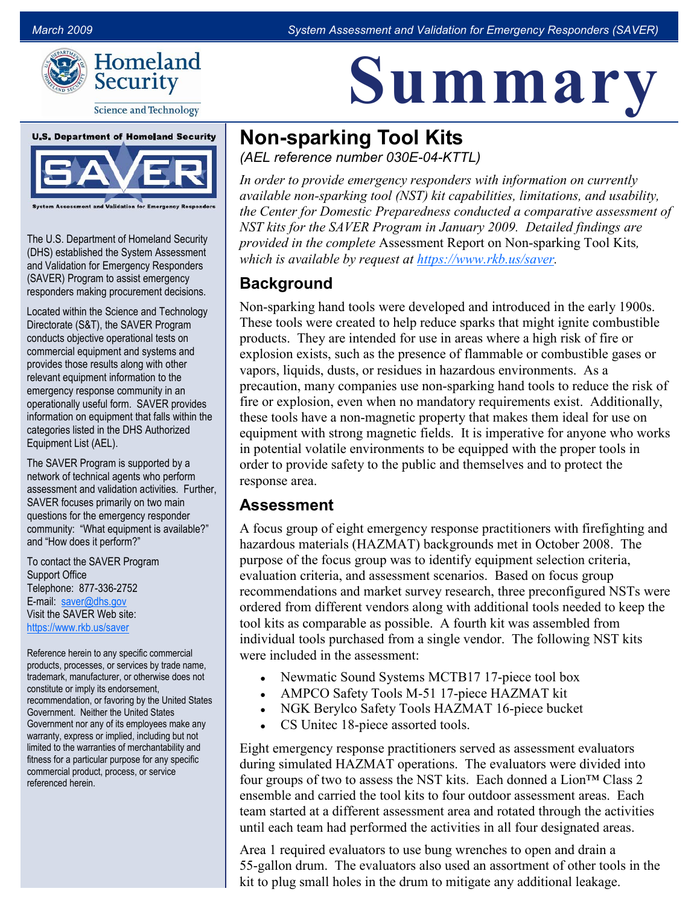<u>Le relative de la serie de la serie de la serie de la serie de la serie de la serie de la serie de la serie de </u>

Summary



**Science and Technology** 



**Validation for Emergency Responde** 

The U.S. Department of Homeland Security (DHS) established the System Assessment and Validation for Emergency Responders (SAVER) Program to assist emergency responders making procurement decisions.

Located within the Science and Technology Directorate (S&T), the SAVER Program conducts objective operational tests on commercial equipment and systems and provides those results along with other relevant equipment information to the emergency response community in an operationally useful form. SAVER provides information on equipment that falls within the categories listed in the DHS Authorized Equipment List (AEL).

The SAVER Program is supported by a network of technical agents who perform assessment and validation activities. Further, SAVER focuses primarily on two main questions for the emergency responder community: "What equipment is available?" and "How does it perform?"

To contact the SAVER Program Support Office Telephone: 877-336-2752 E-mail: saver@dhs.gov Visit the SAVER Web site: <https://www.rkb.us/saver>

Reference herein to any specific commercial products, processes, or services by trade name, trademark, manufacturer, or otherwise does not constitute or imply its endorsement, recommendation, or favoring by the United States Government. Neither the United States Government nor any of its employees make any warranty, express or implied, including but not limited to the warranties of merchantability and fitness for a particular purpose for any specific commercial product, process, or service referenced herein.

# **Non-sparking Tool Kits**

(AEL reference number 030E-04-KTTL)

In order to provide emergency responders with information on currently available nonsparking tool (NST) kit capabilities, limitations, and usability, the Center for Domestic Preparedness conducted a comparative assessment of NST kits for the SAVER Program in January 2009. Detailed findings are provided in the complete Assessment Report on Non-sparking Tool Kits, which is available by request at https://www.rkb.us/saver.

# **Background**

Non-sparking hand tools were developed and introduced in the early 1900s. These tools were created to help reduce sparks that might ignite combustible explosion exists, such as the presence of flammable or combustible gases or products. They are intended for use in areas where a high risk of fire or vapors, liquids, dusts, or residues in hazardous environments. As a precaution, many companies use nonsparking hand tools to reduce the risk of fire or explosion, even when no mandatory requirements exist. Additionally, these tools have a non-magnetic property that makes them ideal for use on equipment with strong magnetic fields. It is imperative for anyone who works in potential volatile environments to be equipped with the proper tools in order to provide safety to the public and themselves and to protect the response area.

# Assessment

 A focus group of eight emergency response practitioners with firefighting and evaluation criteria, and assessment scenarios. Based on focus group recommendations and market survey research, three preconfigured NSTs were individual tools purchased from a single vendor. The following NST kits hazardous materials (HAZMAT) backgrounds met in October 2008. The purpose of the focus group was to identify equipment selection criteria, ordered from different vendors along with additional tools needed to keep the tool kits as comparable as possible. A fourth kit was assembled from were included in the assessment:

- Newmatic Sound Systems MCTB17 17-piece tool box
- AMPCO Safety Tools M-51 17-piece HAZMAT kit
- NGK Berylco Safety Tools HAZMAT 16-piece bucket
- CS Unite assorted tools.

 Eight emergency response practitioners served as assessment evaluators team started at a different assessment area and rotated through the activities during simulated HAZMAT operations. The evaluators were divided into four groups of two to assess the NST kits. Each donned a  $\text{Lion}^{\text{TM}}$  Class 2 ensemble and carried the tool kits to four outdoor assessment areas. Each until each team had performed the activities in all four designated areas.

 kit to plug small holes in the drum to mitigate any additional leakage. Area 1 required evaluators to use bung wrenches to open and drain a 55-gallon drum. The evaluators also used an assortment of other tools in the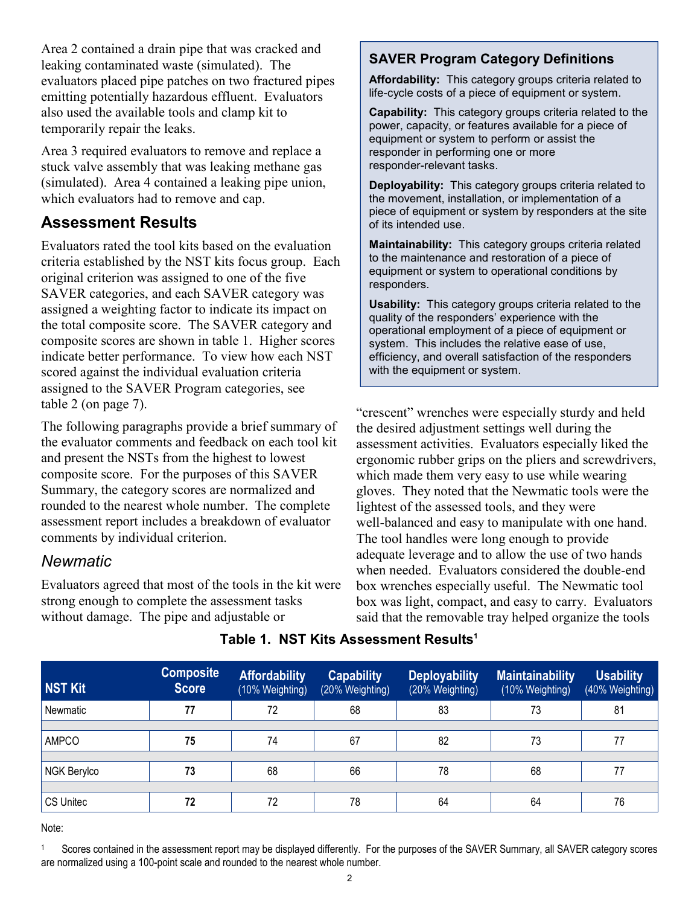Area 2 contained a drain pipe that was cracked and leaking contaminated waste (simulated). The evaluators placed pipe patches on two fractured pipes emitting potentially hazardous effluent. Evaluators also used the available tools and clamp kit to temporarily repair the leaks.

 Area 3 required evaluators to remove and replace a stuck valve assembly that was leaking methane gas (simulated). Area 4 contained a leaking pipe union, which evaluators had to remove and cap.

#### Assessment Results

 assigned a weighting factor to indicate its impact on Evaluators rated the tool kits based on the evaluation criteria established by the NST kits focus group. Each original criterion was assigned to one of the five SAVER categories, and each SAVER category was the total composite score. The SAVER category and composite scores are shown in table 1. Higher scores indicate better performance. To view how each NST scored against the individual evaluation criteria assigned to the SAVER Program categories, see table 2 (on page 7).

 The following paragraphs provide a brief summary of the evaluator comments and feedback on each tool kit rounded to the nearest whole number. The complete assessment report includes a breakdown of evaluator and present the NSTs from the highest to lowest composite score. For the purposes of this SAVER Summary, the category scores are normalized and comments by individual criterion.

#### **Newmatic**

Evaluators agreed that most of the tools in the kit were strong enough to complete the assessment tasks without damage. The pipe and adjustable or

#### SAVER Program Category Definitions

Affordability: This category groups criteria related to life-cycle costs of a piece of equipment or system.

Capability: This category groups criteria related to the power, capacity, or features available for a piece of equipment or system to perform or assist the responder in performing one or more responder-relevant tasks.

Deployability: This category groups criteria related to the movement, installation, or implementation of a piece of equipment or system by responders at the site of its intended use.

Maintainability: This category groups criteria related to the maintenance and restoration of a piece of equipment or system to operational conditions by responders.

Usability: This category groups criteria related to the quality of the responders' experience with the operational employment of a piece of equipment or system. This includes the relative ease of use, efficiency, and overall satisfaction of the responders with the equipment or system.

 "crescent" wrenches were especially sturdy and held lightest of the assessed tools, and they were well-balanced and easy to manipulate with one hand. the desired adjustment settings well during the assessment activities. Evaluators especially liked the ergonomic rubber grips on the pliers and screwdrivers, which made them very easy to use while wearing gloves. They noted that the Newmatic tools were the The tool handles were long enough to provide adequate leverage and to allow the use of two hands when needed. Evaluators considered the double-end box wrenches especially useful. The Newmatic tool box was light, compact, and easy to carry. Evaluators said that the removable tray helped organize the tools

| <b>NST Kit</b> | <b>Composite</b><br><b>Score</b> | <b>Affordability</b><br>(10% Weighting) | <b>Capability</b><br>(20% Weighting) | <b>Deployability</b><br>(20% Weighting) | <b>Maintainability</b><br>(10% Weighting) | <b>Usability</b><br>(40% Weighting) |
|----------------|----------------------------------|-----------------------------------------|--------------------------------------|-----------------------------------------|-------------------------------------------|-------------------------------------|
| Newmatic       | 77                               | 72                                      | 68                                   | 83                                      | 73                                        | 81                                  |
|                |                                  |                                         |                                      |                                         |                                           |                                     |
| <b>AMPCO</b>   | 75                               | 74                                      | 67                                   | 82                                      | 73                                        | 77                                  |
|                |                                  |                                         |                                      |                                         |                                           |                                     |
| NGK Berylco    | 73                               | 68                                      | 66                                   | 78                                      | 68                                        | 77                                  |
|                |                                  |                                         |                                      |                                         |                                           |                                     |
| CS Unitec      | 72                               | 72                                      | 78                                   | 64                                      | 64                                        | 76                                  |

#### Table 1.  $NST$  Kits Assessment Results $^1$

Note:

 Scores contained in the assessment report may be displayed differently. For the purposes of the SAVER Summary, all SAVER category scores are normalized using a 100-point scale and rounded to the nearest whole number. 1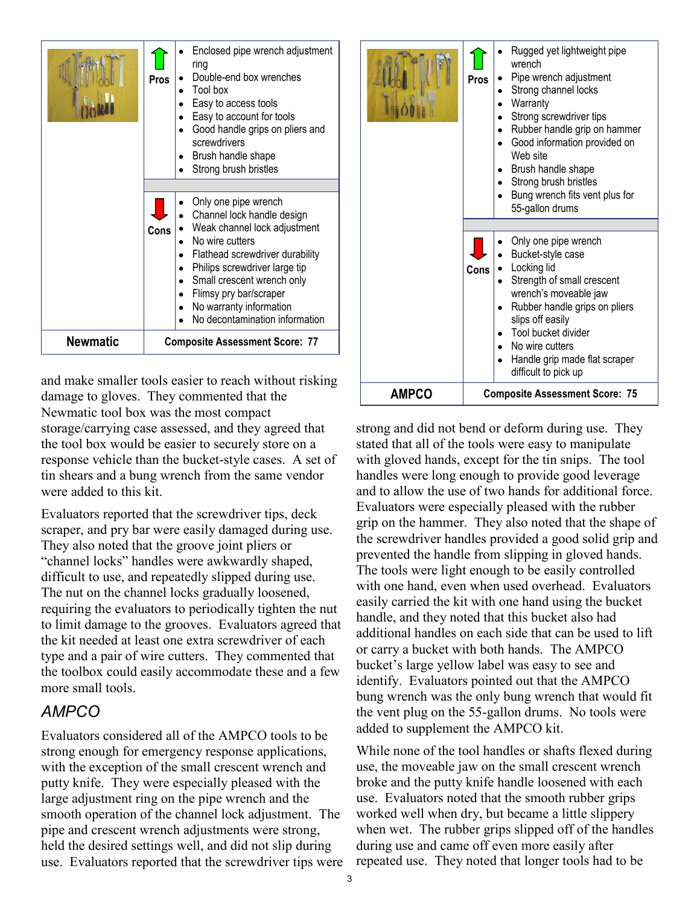|                 | Pros                                  | Enclosed pipe wrench adjustment<br>ring<br>Double-end box wrenches<br>Tool box<br>Easy to access tools<br>Easy to account for tools<br>Good handle grips on pliers and<br>screwdrivers<br>Brush handle shape<br>Strong brush bristles                                                          |  |  |
|-----------------|---------------------------------------|------------------------------------------------------------------------------------------------------------------------------------------------------------------------------------------------------------------------------------------------------------------------------------------------|--|--|
|                 | Cons                                  | Only one pipe wrench<br>Channel lock handle design<br>Weak channel lock adjustment<br>No wire cutters<br>Flathead screwdriver durability<br>Philips screwdriver large tip<br>Small crescent wrench only<br>Flimsy pry bar/scraper<br>No warranty information<br>No decontamination information |  |  |
| <b>Newmatic</b> | <b>Composite Assessment Score: 77</b> |                                                                                                                                                                                                                                                                                                |  |  |

 and make smaller tools easier to reach without risking damage to gloves. They commented that the Newmatic tool box was the most compact storage/carrying case assessed, and they agreed that the tool box would be easier to securely store on a response vehicle than the bucket-style cases. A set of tin shears and a bung wrench from the same vendor were added to this kit.

 Evaluators reported that the screwdriver tips, deck scraper, and pry bar were easily damaged during use. They also noted that the groove joint pliers or "channel locks" handles were awkwardly shaped, difficult to use, and repeatedly slipped during use. The nut on the channel locks gradually loosened, requiring the evaluators to periodically tighten the nut to limit damage to the grooves. Evaluators agreed that the kit needed at least one extra screwdriver of each type and a pair of wire cutters. They commented that the toolbox could easily accommodate these and a few more small tools.

#### AMPCO

 Evaluators considered all of the AMPCO tools to be strong enough for emergency response applications, with the exception of the small crescent wrench and putty knife. They were especially pleased with the large adjustment ring on the pipe wrench and the smooth operation of the channel lock adjustment. The pipe and crescent wrench adjustments were strong, held the desired settings well, and did not slip during use. Evaluators reported that the screwdriver tips were



 strong and did not bend or deform during use. They stated that all of the tools were easy to manipulate with gloved hands, except for the tin snips. The tool handles were long enough to provide good leverage and to allow the use of two hands for additional force. Evaluators were especially pleased with the rubber grip on the hammer. They also noted that the shape of the screwdriver handles provided a good solid grip and prevented the handle from slipping in gloved hands. The tools were light enough to be easily controlled with one hand, even when used overhead. Evaluators easily carried the kit with one hand using the bucket handle, and they noted that this bucket also had additional handles on each side that can be used to lift or carry a bucket with both hands. The AMPCO bucket's large yellow label was easy to see and identify. Evaluators pointed out that the AMPCO bung wrench was the only bung wrench that would fit the vent plug on the 55-gallon drums. No tools were added to supplement the AMPCO kit.

 While none of the tool handles or shafts flexed during use, the moveable jaw on the small crescent wrench broke and the putty knife handle loosened with each use. Evaluators noted that the smooth rubber grips worked well when dry, but became a little slippery when wet. The rubber grips slipped off of the handles during use and came off even more easily after repeated use. They noted that longer tools had to be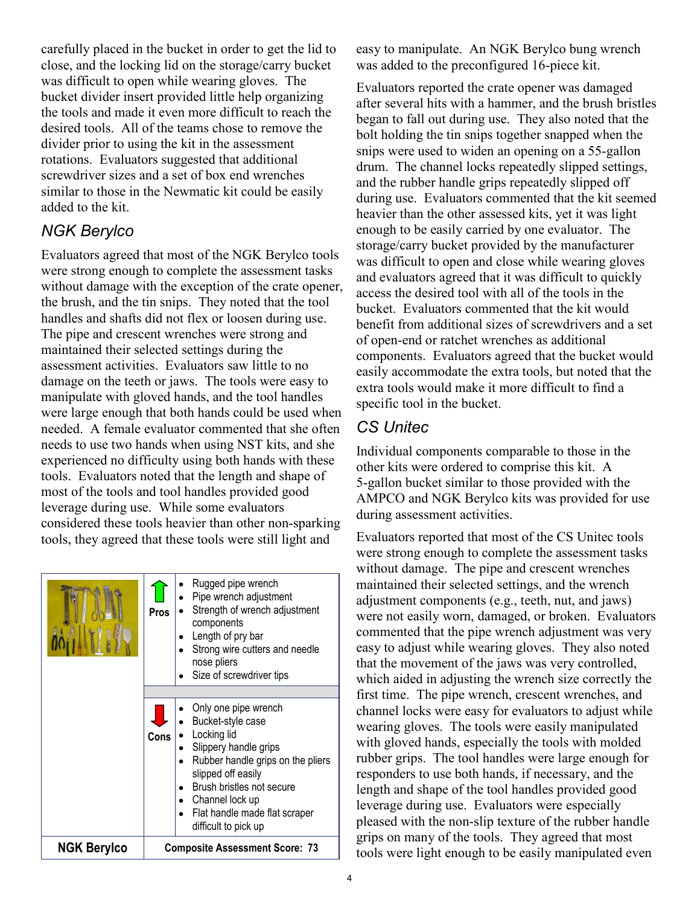carefully placed in the bucket in order to get the lid to was difficult to open while wearing gloves. The the tools and made it even more difficult to reach the close, and the locking lid on the storage/carry bucket bucket divider insert provided little help organizing desired tools. All of the teams chose to remove the divider prior to using the kit in the assessment rotations. Evaluators suggested that additional screwdriver sizes and a set of box end wrenches similar to those in the Newmatic kit could be easily added to the kit.

## NGK Berylco

 the brush, and the tin snips. They noted that the tool The pipe and crescent wrenches were strong and damage on the teeth or jaws. The tools were easy to were large enough that both hands could be used when needed. A female evaluator commented that she often needs to use two hands when using NST kits, and she tools. Evaluators noted that the length and shape of most of the tools and tool handles provided good Evaluators agreed that most of the NGK Berylco tools were strong enough to complete the assessment tasks without damage with the exception of the crate opener, handles and shafts did not flex or loosen during use. maintained their selected settings during the assessment activities. Evaluators saw little to no manipulate with gloved hands, and the tool handles experienced no difficulty using both hands with these leverage during use. While some evaluators considered these tools heavier than other nonsparking tools, they agreed that these tools were still light and

|                    | Pros                                  | Rugged pipe wrench<br>Pipe wrench adjustment<br>Strength of wrench adjustment<br>components<br>Length of pry bar<br>Strong wire cutters and needle<br>nose pliers<br>Size of screwdriver tips                                                         |  |
|--------------------|---------------------------------------|-------------------------------------------------------------------------------------------------------------------------------------------------------------------------------------------------------------------------------------------------------|--|
|                    |                                       |                                                                                                                                                                                                                                                       |  |
|                    | Cons                                  | Only one pipe wrench<br>Bucket-style case<br>Locking lid<br>Slippery handle grips<br>Rubber handle grips on the pliers<br>slipped off easily<br>Brush bristles not secure<br>Channel lock up<br>Flat handle made flat scraper<br>difficult to pick up |  |
| <b>NGK Berylco</b> | <b>Composite Assessment Score: 73</b> |                                                                                                                                                                                                                                                       |  |

easy to manipulate. An NGK Berylco bung wrench was added to the preconfigured 16-piece kit.

 bolt holding the tin snips together snapped when the was difficult to open and close while wearing gloves benefit from additional sizes of screwdrivers and a set of open-end or ratchet wrenches as additional easily accommodate the extra tools, but noted that the Evaluators reported the crate opener was damaged after several hits with a hammer, and the brush bristles began to fall out during use. They also noted that the snips were used to widen an opening on a 55-gallon drum. The channel locks repeatedly slipped settings, and the rubber handle grips repeatedly slipped off during use. Evaluators commented that the kit seemed heavier than the other assessed kits, yet it was light enough to be easily carried by one evaluator. The storage/carry bucket provided by the manufacturer and evaluators agreed that it was difficult to quickly access the desired tool with all of the tools in the bucket. Evaluators commented that the kit would components. Evaluators agreed that the bucket would extra tools would make it more difficult to find a specific tool in the bucket.

### CS Unitec

 AMPCO and NGK Berylco kits was provided for use Individual components comparable to those in the other kits were ordered to comprise this kit. A 5-gallon bucket similar to those provided with the during assessment activities.

 commented that the pipe wrench adjustment was very easy to adjust while wearing gloves. They also noted which aided in adjusting the wrench size correctly the channel locks were easy for evaluators to adjust while rubber grips. The tool handles were large enough for length and shape of the tool handles provided good leverage during use. Evaluators were especially Evaluators reported that most of the CS Unitec tools were strong enough to complete the assessment tasks without damage. The pipe and crescent wrenches maintained their selected settings, and the wrench adjustment components (e.g., teeth, nut, and jaws) were not easily worn, damaged, or broken. Evaluators that the movement of the jaws was very controlled, first time. The pipe wrench, crescent wrenches, and wearing gloves. The tools were easily manipulated with gloved hands, especially the tools with molded responders to use both hands, if necessary, and the pleased with the non-slip texture of the rubber handle grips on many of the tools. They agreed that most tools were light enough to be easily manipulated even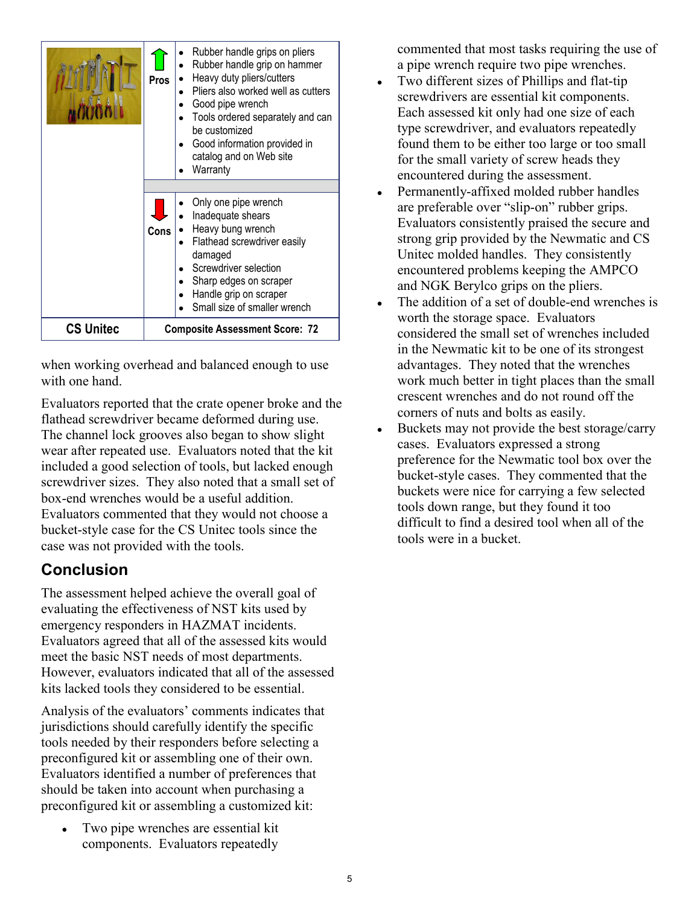|                  | <b>Pros</b>                           | Rubber handle grips on pliers<br>Rubber handle grip on hammer<br>Heavy duty pliers/cutters<br>Pliers also worked well as cutters<br>Good pipe wrench<br>Tools ordered separately and can<br>be customized<br>Good information provided in<br>catalog and on Web site<br>Warranty |  |
|------------------|---------------------------------------|----------------------------------------------------------------------------------------------------------------------------------------------------------------------------------------------------------------------------------------------------------------------------------|--|
|                  | <b>Cons</b>                           | Only one pipe wrench<br>Inadequate shears<br>Heavy bung wrench<br>Flathead screwdriver easily<br>damaged<br>Screwdriver selection<br>Sharp edges on scraper<br>Handle grip on scraper<br>Small size of smaller wrench                                                            |  |
| <b>CS Unitec</b> | <b>Composite Assessment Score: 72</b> |                                                                                                                                                                                                                                                                                  |  |

when working overhead and balanced enough to use with one hand.

 Evaluators reported that the crate opener broke and the wear after repeated use. Evaluators noted that the kit flathead screwdriver became deformed during use. The channel lock grooves also began to show slight included a good selection of tools, but lacked enough screwdriver sizes. They also noted that a small set of box-end wrenches would be a useful addition. Evaluators commented that they would not choose a bucket-style case for the CS Unitec tools since the case was not provided with the tools.

### Conclusion

 The assessment helped achieve the overall goal of However, evaluators indicated that all of the assessed evaluating the effectiveness of NST kits used by emergency responders in HAZMAT incidents. Evaluators agreed that all of the assessed kits would meet the basic NST needs of most departments. kits lacked tools they considered to be essential.

 tools needed by their responders before selecting a should be taken into account when purchasing a Analysis of the evaluators' comments indicates that jurisdictions should carefully identify the specific preconfigured kit or assembling one of their own. Evaluators identified a number of preferences that preconfigured kit or assembling a customized kit:

 ● Two pipe wrenches are essential kit components. Evaluators repeatedly

commented that most tasks requiring the use of a pipe wrench require two pipe wrenches.

- $\bullet$  Two different sizes of Phillips and flat-tip screwdrivers are essential kit components. Each assessed kit only had one size of each type screwdriver, and evaluators repeatedly found them to be either too large or too small for the small variety of screw heads they encountered during the assessment.
- and NGK Berylco grips on the pliers. • Permanently-affixed molded rubber handles are preferable over "slip-on" rubber grips. Evaluators consistently praised the secure and strong grip provided by the Newmatic and CS Unitec molded handles. They consistently encountered problems keeping the AMPCO
- $\bullet$  The addition of a set of double-end wrenches is worth the storage space. Evaluators considered the small set of wrenches included in the Newmatic kit to be one of its strongest advantages. They noted that the wrenches work much better in tight places than the small crescent wrenches and do not round off the corners of nuts and bolts as easily.
- $\bullet$  Buckets may not provide the best storage/carry cases. Evaluators expressed a strong preference for the Newmatic tool box over the bucket-style cases. They commented that the buckets were nice for carrying a few selected tools down range, but they found it too difficult to find a desired tool when all of the tools were in a bucket.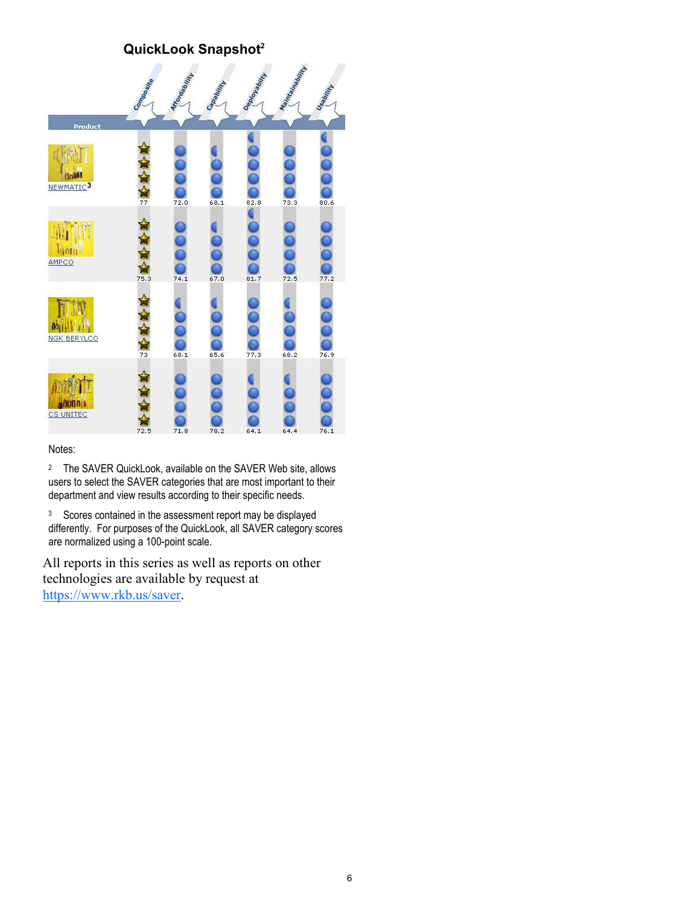#### QuickLook Snapshot<sup>2</sup>



#### Notes:

 <sup>2</sup> The SAVER QuickLook, available on the SAVER Web site, allows users to select the SAVER categories that are most important to their department and view results according to their specific needs.

<sup>3</sup> Scores contained in the assessment report may be displayed differently. For purposes of the QuickLook, all SAVER category scores are normalized using a 100-point scale.

 technologies are available by request at All reports in this series as well as reports on other https://www.rkb.us/saver.